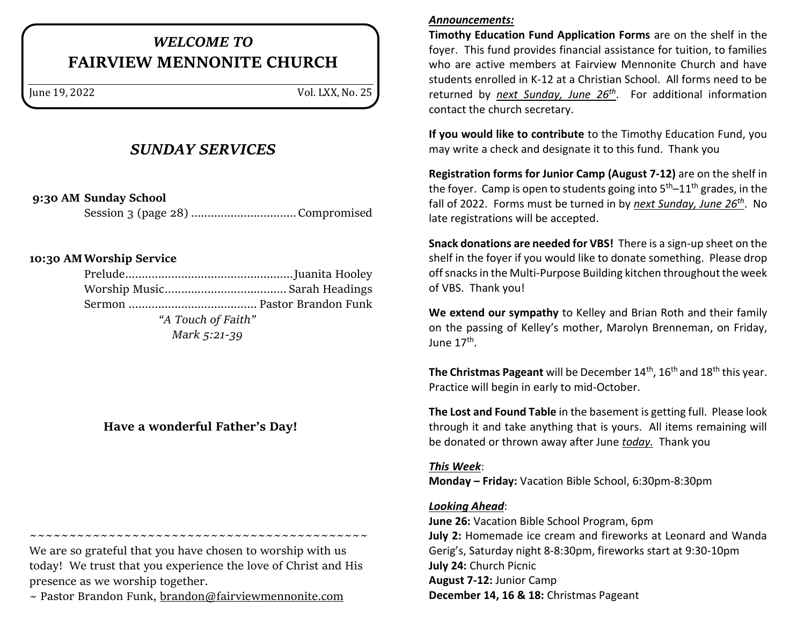# *WELCOME TO* **FAIRVIEW MENNONITE CHURCH**

June 19, 2022 Vol. LXX, No. 25

### *SUNDAY SERVICES*

**9:30 AM Sunday School**

Session 3 (page 28) ................................Compromised

#### **10:30 AMWorship Service**

| "A Touch of Faith" |  |
|--------------------|--|
| Mark 5:21-39       |  |

### **Have a wonderful Father's Day!**

We are so grateful that you have chosen to worship with us today! We trust that you experience the love of Christ and His presence as we worship together.

~~~~~~~~~~~~~~~~~~~~~~~~~~~~~~~~~~~~~~~~~~~

 $\sim$  Pastor Brandon Funk, [brandon@fairviewmennonite.com](mailto:brandon@fairviewmennonite.com)

#### *Announcements:*

**Timothy Education Fund Application Forms** are on the shelf in the foyer. This fund provides financial assistance for tuition, to families who are active members at Fairview Mennonite Church and have students enrolled in K-12 at a Christian School. All forms need to be returned by *next Sunday, June 26th*. For additional information contact the church secretary.

**If you would like to contribute** to the Timothy Education Fund, you may write a check and designate it to this fund. Thank you

**Registration forms for Junior Camp (August 7-12)** are on the shelf in the foyer. Camp is open to students going into  $5<sup>th</sup>-11<sup>th</sup>$  grades, in the fall of 2022. Forms must be turned in by *next Sunday, June 26th*. No late registrations will be accepted.

**Snack donations are needed for VBS!** There is a sign-up sheet on the shelf in the foyer if you would like to donate something. Please drop off snacks in the Multi-Purpose Building kitchen throughout the week of VBS. Thank you!

**We extend our sympathy** to Kelley and Brian Roth and their family on the passing of Kelley's mother, Marolyn Brenneman, on Friday, June 17<sup>th</sup>.

**The Christmas Pageant** will be December 14<sup>th</sup>, 16<sup>th</sup> and 18<sup>th</sup> this year. Practice will begin in early to mid-October.

**The Lost and Found Table** in the basement is getting full. Please look through it and take anything that is yours. All items remaining will be donated or thrown away after June *today.* Thank you

#### *This Week*:

**Monday – Friday:** Vacation Bible School, 6:30pm-8:30pm

#### *Looking Ahead*:

**June 26:** Vacation Bible School Program, 6pm **July 2:** Homemade ice cream and fireworks at Leonard and Wanda Gerig's, Saturday night 8-8:30pm, fireworks start at 9:30-10pm **July 24:** Church Picnic **August 7-12:** Junior Camp **December 14, 16 & 18:** Christmas Pageant